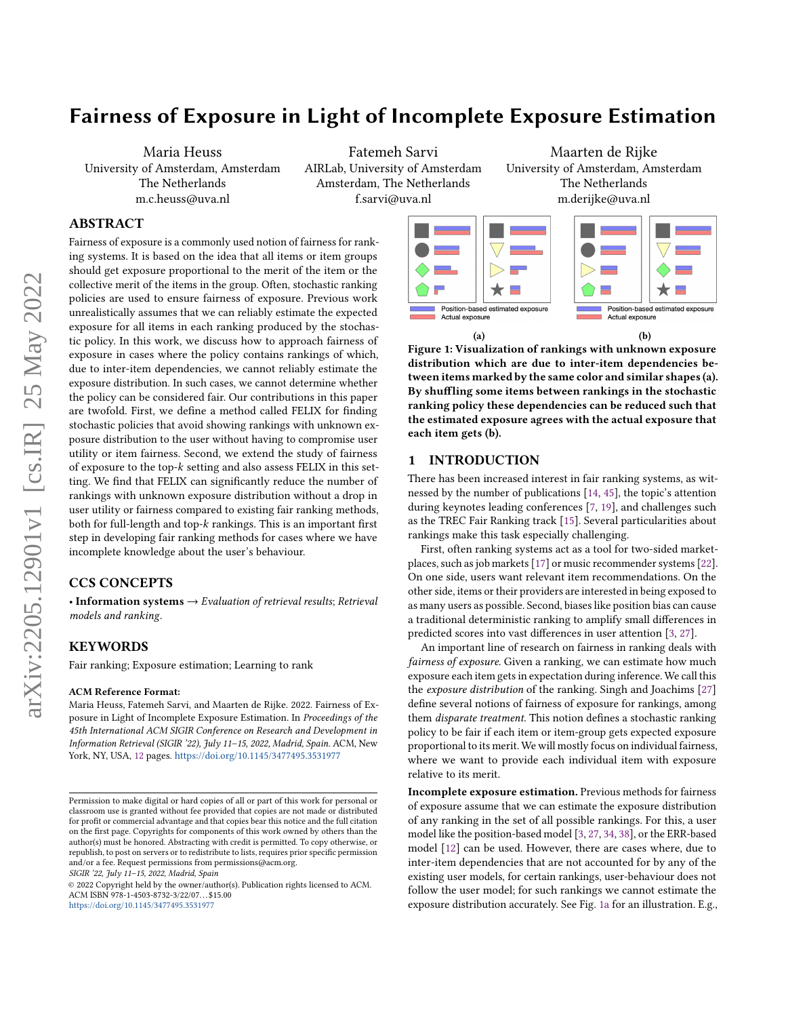# Fairness of Exposure in Light of Incomplete Exposure Estimation

Maria Heuss University of Amsterdam, Amsterdam The Netherlands m.c.heuss@uva.nl

Fatemeh Sarvi AIRLab, University of Amsterdam Amsterdam, The Netherlands f.sarvi@uva.nl

# ABSTRACT

Fairness of exposure is a commonly used notion of fairness for ranking systems. It is based on the idea that all items or item groups should get exposure proportional to the merit of the item or the collective merit of the items in the group. Often, stochastic ranking policies are used to ensure fairness of exposure. Previous work unrealistically assumes that we can reliably estimate the expected exposure for all items in each ranking produced by the stochastic policy. In this work, we discuss how to approach fairness of exposure in cases where the policy contains rankings of which, due to inter-item dependencies, we cannot reliably estimate the exposure distribution. In such cases, we cannot determine whether the policy can be considered fair. Our contributions in this paper are twofold. First, we define a method called FELIX for finding stochastic policies that avoid showing rankings with unknown exposure distribution to the user without having to compromise user utility or item fairness. Second, we extend the study of fairness of exposure to the top- $k$  setting and also assess FELIX in this setting. We find that FELIX can significantly reduce the number of rankings with unknown exposure distribution without a drop in user utility or fairness compared to existing fair ranking methods, both for full-length and top- $k$  rankings. This is an important first step in developing fair ranking methods for cases where we have incomplete knowledge about the user's behaviour.

# CCS CONCEPTS

• Information systems → Evaluation of retrieval results; Retrieval models and ranking.

### KEYWORDS

Fair ranking; Exposure estimation; Learning to rank

#### ACM Reference Format:

Maria Heuss, Fatemeh Sarvi, and Maarten de Rijke. 2022. Fairness of Exposure in Light of Incomplete Exposure Estimation. In Proceedings of the 45th International ACM SIGIR Conference on Research and Development in Information Retrieval (SIGIR '22), July 11–15, 2022, Madrid, Spain. ACM, New York, NY, USA, [12](#page-11-0) pages. <https://doi.org/10.1145/3477495.3531977>

SIGIR '22, July 11–15, 2022, Madrid, Spain

Maarten de Rijke University of Amsterdam, Amsterdam The Netherlands m.derijke@uva.nl

<span id="page-0-0"></span>

Figure 1: Visualization of rankings with unknown exposure distribution which are due to inter-item dependencies between items marked by the same color and similar shapes (a). By shuffling some items between rankings in the stochastic ranking policy these dependencies can be reduced such that the estimated exposure agrees with the actual exposure that each item gets (b).

### 1 INTRODUCTION

There has been increased interest in fair ranking systems, as witnessed by the number of publications [\[14,](#page-11-1) [45\]](#page-11-2), the topic's attention during keynotes leading conferences [\[7,](#page-11-3) [19\]](#page-11-4), and challenges such as the TREC Fair Ranking track [\[15\]](#page-11-5). Several particularities about rankings make this task especially challenging.

First, often ranking systems act as a tool for two-sided marketplaces, such as job markets [\[17\]](#page-11-6) or music recommender systems [\[22\]](#page-11-7). On one side, users want relevant item recommendations. On the other side, items or their providers are interested in being exposed to as many users as possible. Second, biases like position bias can cause a traditional deterministic ranking to amplify small differences in predicted scores into vast differences in user attention [\[3,](#page-11-8) [27\]](#page-11-9).

An important line of research on fairness in ranking deals with fairness of exposure. Given a ranking, we can estimate how much exposure each item gets in expectation during inference. We call this the exposure distribution of the ranking. Singh and Joachims [\[27\]](#page-11-9) define several notions of fairness of exposure for rankings, among them disparate treatment. This notion defines a stochastic ranking policy to be fair if each item or item-group gets expected exposure proportional to its merit. We will mostly focus on individual fairness, where we want to provide each individual item with exposure relative to its merit.

Incomplete exposure estimation. Previous methods for fairness of exposure assume that we can estimate the exposure distribution of any ranking in the set of all possible rankings. For this, a user model like the position-based model [\[3,](#page-11-8) [27,](#page-11-9) [34,](#page-11-10) [38\]](#page-11-11), or the ERR-based model [\[12\]](#page-11-12) can be used. However, there are cases where, due to inter-item dependencies that are not accounted for by any of the existing user models, for certain rankings, user-behaviour does not follow the user model; for such rankings we cannot estimate the exposure distribution accurately. See Fig. [1a](#page-0-0) for an illustration. E.g.,

Permission to make digital or hard copies of all or part of this work for personal or classroom use is granted without fee provided that copies are not made or distributed for profit or commercial advantage and that copies bear this notice and the full citation on the first page. Copyrights for components of this work owned by others than the author(s) must be honored. Abstracting with credit is permitted. To copy otherwise, or republish, to post on servers or to redistribute to lists, requires prior specific permission and/or a fee. Request permissions from permissions@acm.org.

<sup>©</sup> 2022 Copyright held by the owner/author(s). Publication rights licensed to ACM. ACM ISBN 978-1-4503-8732-3/22/07. . . \$15.00 <https://doi.org/10.1145/3477495.3531977>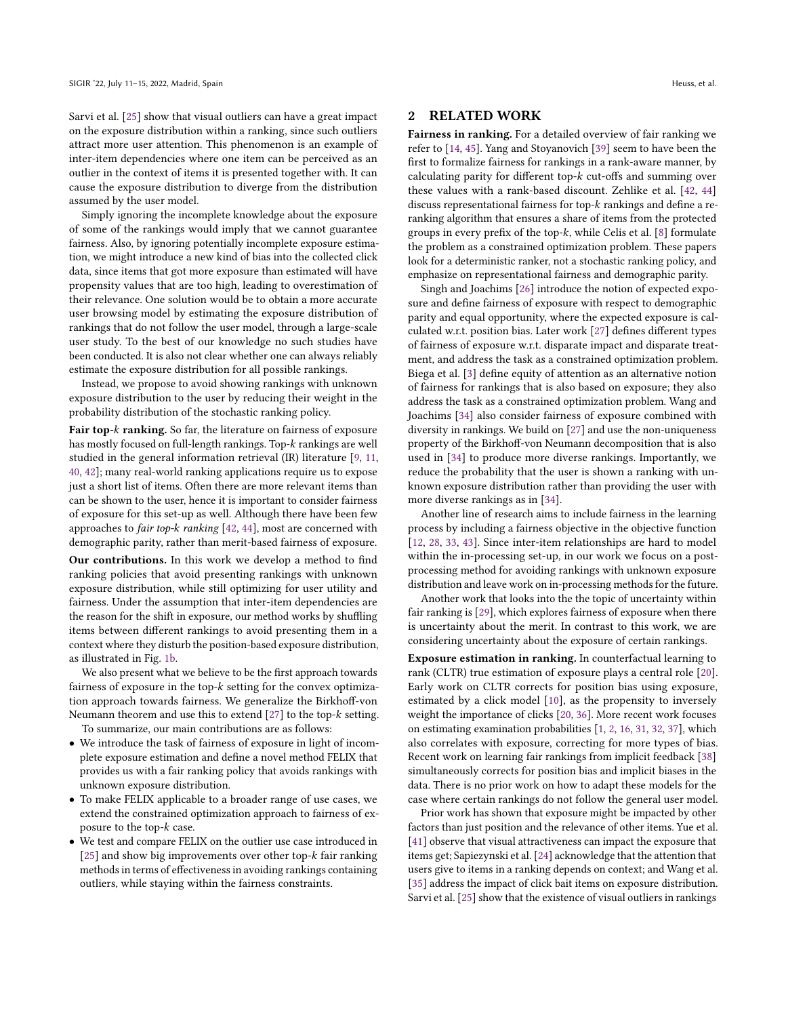Sarvi et al. [\[25\]](#page-11-13) show that visual outliers can have a great impact on the exposure distribution within a ranking, since such outliers attract more user attention. This phenomenon is an example of inter-item dependencies where one item can be perceived as an outlier in the context of items it is presented together with. It can cause the exposure distribution to diverge from the distribution assumed by the user model.

Simply ignoring the incomplete knowledge about the exposure of some of the rankings would imply that we cannot guarantee fairness. Also, by ignoring potentially incomplete exposure estimation, we might introduce a new kind of bias into the collected click data, since items that got more exposure than estimated will have propensity values that are too high, leading to overestimation of their relevance. One solution would be to obtain a more accurate user browsing model by estimating the exposure distribution of rankings that do not follow the user model, through a large-scale user study. To the best of our knowledge no such studies have been conducted. It is also not clear whether one can always reliably estimate the exposure distribution for all possible rankings.

Instead, we propose to avoid showing rankings with unknown exposure distribution to the user by reducing their weight in the probability distribution of the stochastic ranking policy.

Fair top-k ranking. So far, the literature on fairness of exposure has mostly focused on full-length rankings. Top- $k$  rankings are well studied in the general information retrieval (IR) literature [\[9,](#page-11-14) [11,](#page-11-15) [40,](#page-11-16) [42\]](#page-11-17); many real-world ranking applications require us to expose just a short list of items. Often there are more relevant items than can be shown to the user, hence it is important to consider fairness of exposure for this set-up as well. Although there have been few approaches to *fair top-k ranking*  $[42, 44]$  $[42, 44]$  $[42, 44]$ , most are concerned with demographic parity, rather than merit-based fairness of exposure.

Our contributions. In this work we develop a method to find ranking policies that avoid presenting rankings with unknown exposure distribution, while still optimizing for user utility and fairness. Under the assumption that inter-item dependencies are the reason for the shift in exposure, our method works by shuffling items between different rankings to avoid presenting them in a context where they disturb the position-based exposure distribution, as illustrated in Fig. [1b.](#page-0-0)

We also present what we believe to be the first approach towards fairness of exposure in the top- $k$  setting for the convex optimization approach towards fairness. We generalize the Birkhoff-von Neumann theorem and use this to extend  $[27]$  to the top- $k$  setting.

To summarize, our main contributions are as follows:

- We introduce the task of fairness of exposure in light of incomplete exposure estimation and define a novel method FELIX that provides us with a fair ranking policy that avoids rankings with unknown exposure distribution.
- To make FELIX applicable to a broader range of use cases, we extend the constrained optimization approach to fairness of exposure to the top- $k$  case.
- We test and compare FELIX on the outlier use case introduced in [\[25\]](#page-11-13) and show big improvements over other top- $k$  fair ranking methods in terms of effectiveness in avoiding rankings containing outliers, while staying within the fairness constraints.

# 2 RELATED WORK

Fairness in ranking. For a detailed overview of fair ranking we refer to [\[14,](#page-11-1) [45\]](#page-11-2). Yang and Stoyanovich [\[39\]](#page-11-19) seem to have been the first to formalize fairness for rankings in a rank-aware manner, by calculating parity for different top- $k$  cut-offs and summing over these values with a rank-based discount. Zehlike et al. [\[42,](#page-11-17) [44\]](#page-11-18) discuss representational fairness for top- $k$  rankings and define a reranking algorithm that ensures a share of items from the protected groups in every prefix of the top- $k$ , while Celis et al. [\[8\]](#page-11-20) formulate the problem as a constrained optimization problem. These papers look for a deterministic ranker, not a stochastic ranking policy, and emphasize on representational fairness and demographic parity.

Singh and Joachims [\[26\]](#page-11-21) introduce the notion of expected exposure and define fairness of exposure with respect to demographic parity and equal opportunity, where the expected exposure is calculated w.r.t. position bias. Later work [\[27\]](#page-11-9) defines different types of fairness of exposure w.r.t. disparate impact and disparate treatment, and address the task as a constrained optimization problem. Biega et al. [\[3\]](#page-11-8) define equity of attention as an alternative notion of fairness for rankings that is also based on exposure; they also address the task as a constrained optimization problem. Wang and Joachims [\[34\]](#page-11-10) also consider fairness of exposure combined with diversity in rankings. We build on [\[27\]](#page-11-9) and use the non-uniqueness property of the Birkhoff-von Neumann decomposition that is also used in [\[34\]](#page-11-10) to produce more diverse rankings. Importantly, we reduce the probability that the user is shown a ranking with unknown exposure distribution rather than providing the user with more diverse rankings as in [\[34\]](#page-11-10).

Another line of research aims to include fairness in the learning process by including a fairness objective in the objective function [\[12,](#page-11-12) [28,](#page-11-22) [33,](#page-11-23) [43\]](#page-11-24). Since inter-item relationships are hard to model within the in-processing set-up, in our work we focus on a postprocessing method for avoiding rankings with unknown exposure distribution and leave work on in-processing methods for the future.

Another work that looks into the the topic of uncertainty within fair ranking is [\[29\]](#page-11-25), which explores fairness of exposure when there is uncertainty about the merit. In contrast to this work, we are considering uncertainty about the exposure of certain rankings.

Exposure estimation in ranking. In counterfactual learning to rank (CLTR) true estimation of exposure plays a central role [\[20\]](#page-11-26). Early work on CLTR corrects for position bias using exposure, estimated by a click model [\[10\]](#page-11-27), as the propensity to inversely weight the importance of clicks [\[20,](#page-11-26) [36\]](#page-11-28). More recent work focuses on estimating examination probabilities [\[1,](#page-11-29) [2,](#page-11-30) [16,](#page-11-31) [31,](#page-11-32) [32,](#page-11-33) [37\]](#page-11-34), which also correlates with exposure, correcting for more types of bias. Recent work on learning fair rankings from implicit feedback [\[38\]](#page-11-11) simultaneously corrects for position bias and implicit biases in the data. There is no prior work on how to adapt these models for the case where certain rankings do not follow the general user model.

Prior work has shown that exposure might be impacted by other factors than just position and the relevance of other items. Yue et al. [\[41\]](#page-11-35) observe that visual attractiveness can impact the exposure that items get; Sapiezynski et al. [\[24\]](#page-11-36) acknowledge that the attention that users give to items in a ranking depends on context; and Wang et al. [\[35\]](#page-11-37) address the impact of click bait items on exposure distribution. Sarvi et al. [\[25\]](#page-11-13) show that the existence of visual outliers in rankings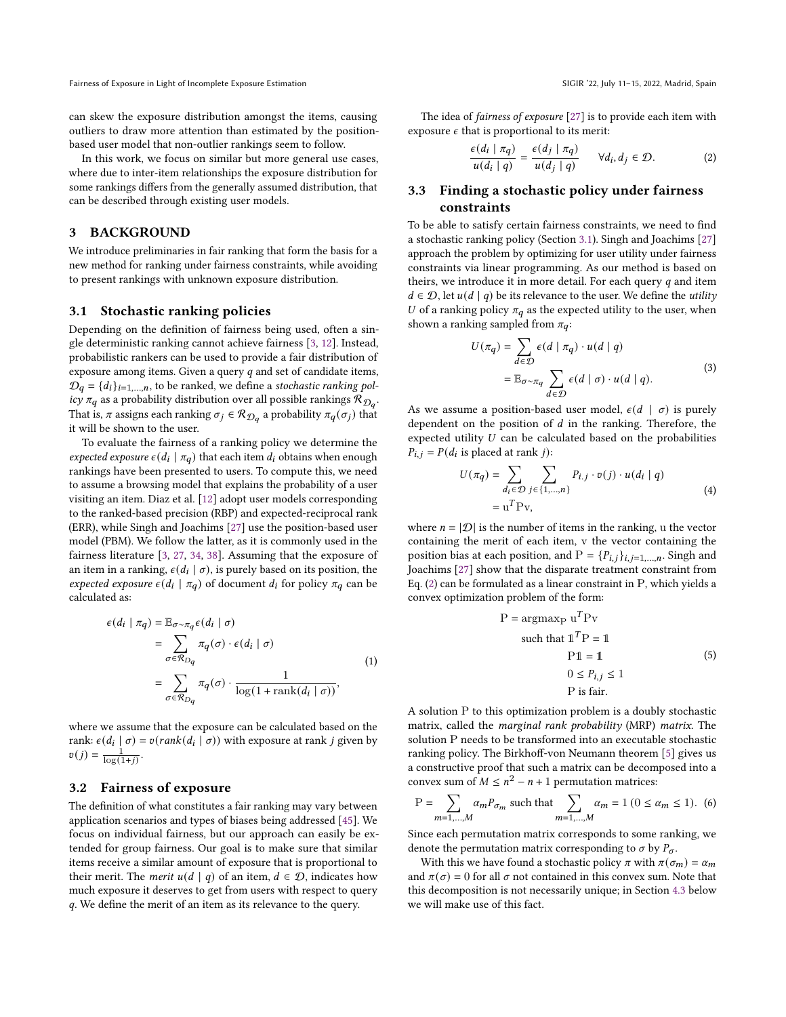can skew the exposure distribution amongst the items, causing outliers to draw more attention than estimated by the positionbased user model that non-outlier rankings seem to follow.

In this work, we focus on similar but more general use cases, where due to inter-item relationships the exposure distribution for some rankings differs from the generally assumed distribution, that can be described through existing user models.

# 3 BACKGROUND

We introduce preliminaries in fair ranking that form the basis for a new method for ranking under fairness constraints, while avoiding to present rankings with unknown exposure distribution.

### <span id="page-2-0"></span>3.1 Stochastic ranking policies

Depending on the definition of fairness being used, often a single deterministic ranking cannot achieve fairness [\[3,](#page-11-8) [12\]](#page-11-12). Instead, probabilistic rankers can be used to provide a fair distribution of exposure among items. Given a query  $q$  and set of candidate items,  $\mathcal{D}_q = \{d_i\}_{i=1,\dots,n}$ , to be ranked, we define a stochastic ranking policy  $\pi_q$  as a probability distribution over all possible rankings  $\mathcal{R}_{\mathcal{D}_q}$ . That is,  $\pi$  assigns each ranking  $\sigma_j \in \mathcal{R}_{\mathcal{D}_q}$  a probability  $\pi_q(\sigma_j)$  that it will be shown to the user.

To evaluate the fairness of a ranking policy we determine the expected exposure  $\epsilon(d_i \mid \pi_q)$  that each item  $d_i$  obtains when enough rankings have been presented to users. To compute this, we need to assume a browsing model that explains the probability of a user visiting an item. Diaz et al. [\[12\]](#page-11-12) adopt user models corresponding to the ranked-based precision (RBP) and expected-reciprocal rank (ERR), while Singh and Joachims [\[27\]](#page-11-9) use the position-based user model (PBM). We follow the latter, as it is commonly used in the fairness literature [\[3,](#page-11-8) [27,](#page-11-9) [34,](#page-11-10) [38\]](#page-11-11). Assuming that the exposure of an item in a ranking,  $\epsilon(d_i | \sigma)$ , is purely based on its position, the expected exposure  $\epsilon(d_i \mid \pi_q)$  of document  $d_i$  for policy  $\pi_q$  can be calculated as:

$$
\epsilon(d_i \mid \pi_q) = \mathbb{E}_{\sigma \sim \pi_q} \epsilon(d_i \mid \sigma)
$$
  
= 
$$
\sum_{\sigma \in \mathcal{R}_{Dq}} \pi_q(\sigma) \cdot \epsilon(d_i \mid \sigma)
$$
  
= 
$$
\sum_{\sigma \in \mathcal{R}_{Dq}} \pi_q(\sigma) \cdot \frac{1}{\log(1 + \operatorname{rank}(d_i \mid \sigma))},
$$
 (1)

where we assume that the exposure can be calculated based on the rank:  $\epsilon(d_i | \sigma) = v(\text{rank}(d_i | \sigma))$  with exposure at rank j given by  $v(j) = \frac{1}{\log(1+j)}$ .

### <span id="page-2-3"></span>3.2 Fairness of exposure

The definition of what constitutes a fair ranking may vary between application scenarios and types of biases being addressed [\[45\]](#page-11-2). We focus on individual fairness, but our approach can easily be extended for group fairness. Our goal is to make sure that similar items receive a similar amount of exposure that is proportional to their merit. The *merit*  $u(d | q)$  of an item,  $d \in \mathcal{D}$ , indicates how much exposure it deserves to get from users with respect to query . We define the merit of an item as its relevance to the query.

The idea of fairness of exposure [\[27\]](#page-11-9) is to provide each item with exposure  $\epsilon$  that is proportional to its merit:

<span id="page-2-1"></span>
$$
\frac{\epsilon(d_i \mid \pi_q)}{u(d_i \mid q)} = \frac{\epsilon(d_j \mid \pi_q)}{u(d_j \mid q)} \qquad \forall d_i, d_j \in \mathcal{D}.
$$
 (2)

# <span id="page-2-2"></span>3.3 Finding a stochastic policy under fairness constraints

To be able to satisfy certain fairness constraints, we need to find a stochastic ranking policy (Section [3.1\)](#page-2-0). Singh and Joachims [\[27\]](#page-11-9) approach the problem by optimizing for user utility under fairness constraints via linear programming. As our method is based on theirs, we introduce it in more detail. For each query  $q$  and item  $d \in \mathcal{D}$ , let  $u(d | q)$  be its relevance to the user. We define the *utility* U of a ranking policy  $\pi_q$  as the expected utility to the user, when shown a ranking sampled from  $\pi_q$ :

$$
U(\pi_q) = \sum_{d \in \mathcal{D}} \epsilon(d \mid \pi_q) \cdot u(d \mid q)
$$
  
=  $\mathbb{E}_{\sigma \sim \pi_q} \sum_{d \in \mathcal{D}} \epsilon(d \mid \sigma) \cdot u(d \mid q).$  (3)

As we assume a position-based user model,  $\epsilon(d \mid \sigma)$  is purely dependent on the position of  $d$  in the ranking. Therefore, the expected utility  $U$  can be calculated based on the probabilities  $P_{i,j} = P(d_i \text{ is placed at rank } j):$ 

$$
U(\pi_q) = \sum_{d_i \in \mathcal{D}} \sum_{j \in \{1,\dots,n\}} P_{i,j} \cdot v(j) \cdot u(d_i \mid q)
$$
  
= 
$$
u^T P v,
$$
 (4)

where  $n = |\mathcal{D}|$  is the number of items in the ranking, u the vector containing the merit of each item, v the vector containing the position bias at each position, and  $P = \{P_{i,j}\}_{i,j=1,\dots,n}$ . Singh and Joachims [\[27\]](#page-11-9) show that the disparate treatment constraint from Eq. [\(2\)](#page-2-1) can be formulated as a linear constraint in P, which yields a convex optimization problem of the form:

$$
P = \operatorname{argmax}_{P} u^{T} P v
$$
  
such that  $1^{T} P = 1$   

$$
P1 = 1
$$
  

$$
0 \le P_{i,j} \le 1
$$
  

$$
P \text{ is fair.}
$$
  
(5)

A solution P to this optimization problem is a doubly stochastic matrix, called the marginal rank probability (MRP) matrix. The solution P needs to be transformed into an executable stochastic ranking policy. The Birkhoff-von Neumann theorem [\[5\]](#page-11-38) gives us a constructive proof that such a matrix can be decomposed into a convex sum of  $M \leq n^2 - n + 1$  permutation matrices:

<span id="page-2-4"></span>
$$
P = \sum_{m=1,...,M} \alpha_m P_{\sigma_m} \text{ such that } \sum_{m=1,...,M} \alpha_m = 1 \ (0 \le \alpha_m \le 1). \tag{6}
$$

Since each permutation matrix corresponds to some ranking, we denote the permutation matrix corresponding to  $\sigma$  by  $P_{\sigma}$ .

With this we have found a stochastic policy  $\pi$  with  $\pi(\sigma_m) = \alpha_m$ and  $\pi(\sigma) = 0$  for all  $\sigma$  not contained in this convex sum. Note that this decomposition is not necessarily unique; in Section [4.3](#page-4-0) below we will make use of this fact.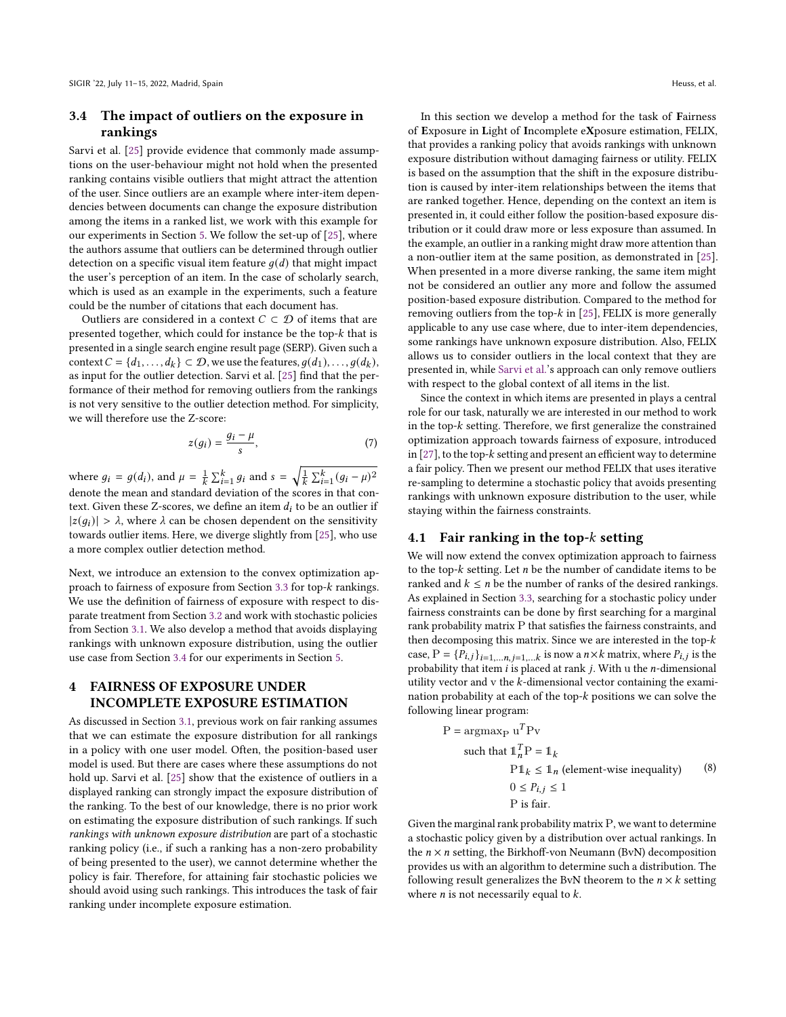# <span id="page-3-0"></span>3.4 The impact of outliers on the exposure in rankings

Sarvi et al. [\[25\]](#page-11-13) provide evidence that commonly made assumptions on the user-behaviour might not hold when the presented ranking contains visible outliers that might attract the attention of the user. Since outliers are an example where inter-item dependencies between documents can change the exposure distribution among the items in a ranked list, we work with this example for our experiments in Section [5.](#page-5-0) We follow the set-up of [\[25\]](#page-11-13), where the authors assume that outliers can be determined through outlier detection on a specific visual item feature  $q(d)$  that might impact the user's perception of an item. In the case of scholarly search, which is used as an example in the experiments, such a feature could be the number of citations that each document has.

Outliers are considered in a context  $C \subset \mathcal{D}$  of items that are presented together, which could for instance be the top- $k$  that is presented in a single search engine result page (SERP). Given such a context  $C = \{d_1, \ldots, d_k\} \subset \mathcal{D}$ , we use the features,  $g(d_1), \ldots, g(d_k)$ , as input for the outlier detection. Sarvi et al. [\[25\]](#page-11-13) find that the performance of their method for removing outliers from the rankings is not very sensitive to the outlier detection method. For simplicity, we will therefore use the Z-score:

$$
z(g_i) = \frac{g_i - \mu}{s},\tag{7}
$$

where  $g_i = g(d_i)$ , and  $\mu = \frac{1}{k} \sum_{i=1}^k g_i$  and  $s = \sqrt{\frac{1}{k} \sum_{i=1}^k (g_i - \mu)^2}$ denote the mean and standard deviation of the scores in that context. Given these Z-scores, we define an item  $d_i$  to be an outlier if  $|z(q_i)| > \lambda$ , where  $\lambda$  can be chosen dependent on the sensitivity towards outlier items. Here, we diverge slightly from [\[25\]](#page-11-13), who use a more complex outlier detection method.

Next, we introduce an extension to the convex optimization ap-proach to fairness of exposure from Section [3.3](#page-2-2) for top- $k$  rankings. We use the definition of fairness of exposure with respect to disparate treatment from Section [3.2](#page-2-3) and work with stochastic policies from Section [3.1.](#page-2-0) We also develop a method that avoids displaying rankings with unknown exposure distribution, using the outlier use case from Section [3.4](#page-3-0) for our experiments in Section [5.](#page-5-0)

# <span id="page-3-2"></span>4 FAIRNESS OF EXPOSURE UNDER INCOMPLETE EXPOSURE ESTIMATION

As discussed in Section [3.1,](#page-2-0) previous work on fair ranking assumes that we can estimate the exposure distribution for all rankings in a policy with one user model. Often, the position-based user model is used. But there are cases where these assumptions do not hold up. Sarvi et al. [\[25\]](#page-11-13) show that the existence of outliers in a displayed ranking can strongly impact the exposure distribution of the ranking. To the best of our knowledge, there is no prior work on estimating the exposure distribution of such rankings. If such rankings with unknown exposure distribution are part of a stochastic ranking policy (i.e., if such a ranking has a non-zero probability of being presented to the user), we cannot determine whether the policy is fair. Therefore, for attaining fair stochastic policies we should avoid using such rankings. This introduces the task of fair ranking under incomplete exposure estimation.

In this section we develop a method for the task of Fairness of Exposure in Light of Incomplete eXposure estimation, FELIX, that provides a ranking policy that avoids rankings with unknown exposure distribution without damaging fairness or utility. FELIX is based on the assumption that the shift in the exposure distribution is caused by inter-item relationships between the items that are ranked together. Hence, depending on the context an item is presented in, it could either follow the position-based exposure distribution or it could draw more or less exposure than assumed. In the example, an outlier in a ranking might draw more attention than a non-outlier item at the same position, as demonstrated in [\[25\]](#page-11-13). When presented in a more diverse ranking, the same item might not be considered an outlier any more and follow the assumed position-based exposure distribution. Compared to the method for removing outliers from the top- $k$  in [\[25\]](#page-11-13), FELIX is more generally applicable to any use case where, due to inter-item dependencies, some rankings have unknown exposure distribution. Also, FELIX allows us to consider outliers in the local context that they are presented in, while [Sarvi et al.'](#page-11-13)s approach can only remove outliers with respect to the global context of all items in the list.

Since the context in which items are presented in plays a central role for our task, naturally we are interested in our method to work in the top- $k$  setting. Therefore, we first generalize the constrained optimization approach towards fairness of exposure, introduced in  $[27]$ , to the top- $k$  setting and present an efficient way to determine a fair policy. Then we present our method FELIX that uses iterative re-sampling to determine a stochastic policy that avoids presenting rankings with unknown exposure distribution to the user, while staying within the fairness constraints.

### <span id="page-3-3"></span>4.1 Fair ranking in the top- $k$  setting

We will now extend the convex optimization approach to fairness to the top- $k$  setting. Let  $n$  be the number of candidate items to be ranked and  $k \leq n$  be the number of ranks of the desired rankings. As explained in Section [3.3,](#page-2-2) searching for a stochastic policy under fairness constraints can be done by first searching for a marginal rank probability matrix P that satisfies the fairness constraints, and then decomposing this matrix. Since we are interested in the top case,  $P = {P_{i,j}}_{i=1,...n, j=1,...k}$  is now a  $n \times k$  matrix, where  $P_{i,j}$  is the probability that item  $i$  is placed at rank  $j$ . With u the  $n$ -dimensional utility vector and  $v$  the  $k$ -dimensional vector containing the examination probability at each of the top- $k$  positions we can solve the following linear program:

<span id="page-3-1"></span>P = argmax<sub>P</sub> u<sup>T</sup>Pv  
such that 
$$
\mathbb{1}_n^T P = \mathbb{1}_k
$$
  
 $P\mathbb{1}_k \leq \mathbb{1}_n$  (element-wise inequality) (8)  
 $0 \leq P_{i,j} \leq 1$   
P is fair.

Given the marginal rank probability matrix P, we want to determine a stochastic policy given by a distribution over actual rankings. In the  $n \times n$  setting, the Birkhoff-von Neumann (BvN) decomposition provides us with an algorithm to determine such a distribution. The following result generalizes the BvN theorem to the  $n \times k$  setting where  $n$  is not necessarily equal to  $k$ .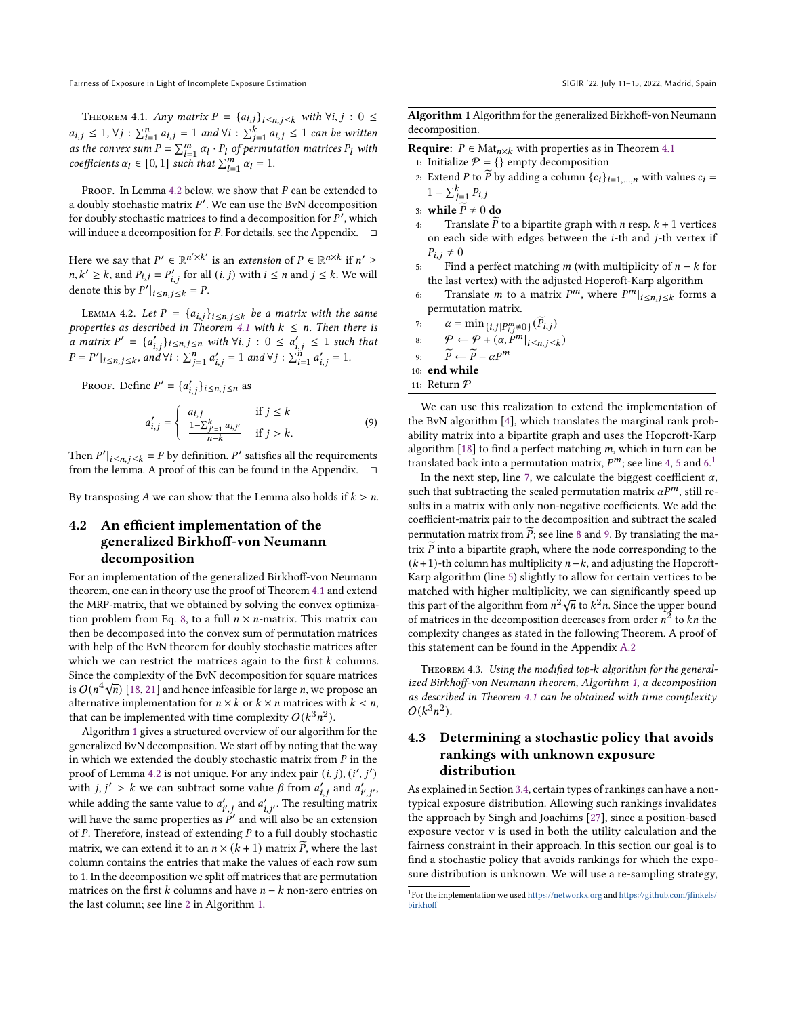<span id="page-4-2"></span>THEOREM 4.1. Any matrix  $P = \{a_{i,j}\}_{i \leq n, j \leq k}$  with  $\forall i, j : 0 \leq j$  $a_{i,j} \leq 1$ ,  $\forall j : \sum_{i=1}^{n} a_{i,j} = 1$  and  $\forall i : \sum_{j=1}^{k} a_{i,j} \leq 1$  can be written as the convex sum  $P = \sum_{l=1}^{m} \alpha_l \cdot P_l$  of permutation matrices  $P_l$  with coefficients  $\alpha_l \in [0, 1]$  such that  $\sum_{l=1}^{m} \alpha_l = 1$ .

PROOF. In Lemma [4.2](#page-4-1) below, we show that  $P$  can be extended to a doubly stochastic matrix  $P'$ . We can use the BvN decomposition for doubly stochastic matrices to find a decomposition for  $P'$ , which will induce a decomposition for  $P$ . For details, see the Appendix.  $\Box$ 

Here we say that  $P' \in \mathbb{R}^{n' \times k'}$  is an *extension* of  $P \in \mathbb{R}^{n \times k}$  if  $n' \geq$  $n, k' \geq k$ , and  $P_{i,j} = P'_{i,j}$  for all  $(i, j)$  with  $i \leq n$  and  $j \leq k$ . We will denote this by  $P'|_{i \leq n, j \leq k} = P$ . |

<span id="page-4-1"></span>LEMMA 4.2. Let  $P = \{a_{i,j}\}_{i \leq n, j \leq k}$  be a matrix with the same properties as described in Theorem [4.1](#page-4-2) with  $k \leq n$ . Then there is a matrix  $P' = \{a'_{i,j}\}_{i \leq n,j \leq n}$  with  $\forall i, j : 0 \leq a'_{i,j} \leq 1$  such that  $P = P'|_{i \le n, j \le k}$ , and  $\forall i : \sum_{j=1}^{n} a'_{i,j} = 1$  and  $\forall j : \sum_{i=1}^{n} a'_{i,j} = 1$ . |

Proof. Define  $P' = \{a'_{i,j}\}_{i \leq n, j \leq n}$  as

$$
a'_{i,j} = \begin{cases} a_{i,j} & \text{if } j \le k \\ \frac{1 - \sum_{j'=1}^{k} a_{i,j'}}{n - k} & \text{if } j > k. \end{cases}
$$
 (9)

Then  $P'|_{i \le n, j \le k} = P$  by definition.  $P'$  satisfies all the requirements from the lemma. A proof of this can be found in the Appendix.  $\square$ 

By transposing A we can show that the Lemma also holds if  $k > n$ .

# <span id="page-4-5"></span>4.2 An efficient implementation of the generalized Birkhoff-von Neumann decomposition

For an implementation of the generalized Birkhoff-von Neumann theorem, one can in theory use the proof of Theorem [4.1](#page-4-2) and extend the MRP-matrix, that we obtained by solving the convex optimiza-tion problem from Eq. [8,](#page-3-1) to a full  $n \times n$ -matrix. This matrix can then be decomposed into the convex sum of permutation matrices with help of the BvN theorem for doubly stochastic matrices after which we can restrict the matrices again to the first  $k$  columns. Since the complexity of the BvN decomposition for square matrices since the complexity of the BVN decomposition for square matrices is  $O(n^4\sqrt{n})$  [\[18,](#page-11-39) [21\]](#page-11-40) and hence infeasible for large *n*, we propose an alternative implementation for  $n \times k$  or  $k \times n$  matrices with  $k < n$ , that can be implemented with time complexity  $O(k^3n^2)$ .

Algorithm [1](#page-4-3) gives a structured overview of our algorithm for the generalized BvN decomposition. We start off by noting that the way in which we extended the doubly stochastic matrix from  $P$  in the proof of Lemma [4.2](#page-4-1) is not unique. For any index pair  $(i, j)$ ,  $(i', j')$ with  $j, j' > k$  we can subtract some value  $\beta$  from  $a'_{i,j}$  and  $a'_{i',j'}$ , while adding the same value to  $a'_{i',i}$  and  $a'_{i,i'}$ . The resulting matrix will have the same properties as  $\overline{P}$  and will also be an extension of  $P$ . Therefore, instead of extending  $P$  to a full doubly stochastic matrix, we can extend it to an  $n \times (k + 1)$  matrix  $\tilde{P}$ , where the last column contains the entries that make the values of each row sum to 1. In the decomposition we split off matrices that are permutation matrices on the first  $k$  columns and have  $n - k$  non-zero entries on the last column; see line [2](#page-4-3) in Algorithm [1.](#page-4-3)

<span id="page-4-3"></span>Algorithm 1 Algorithm for the generalized Birkhoff-von Neumann decomposition.

**Require:**  $P \in Mat_{n \times k}$  with properties as in Theorem [4.1](#page-4-2) 1: Initialize  $P = \{\}$  empty decomposition

- 2: Extend *P* to  $\widetilde{P}$  by adding a column  $\{c_i\}_{i=1,\dots,n}$  with values  $c_i$  =  $1 - \sum_{j=1}^{k} P_{i,j}$
- 3: while  $\widetilde{P} \neq 0$  do<br>4: Translate  $\widetilde{P}$  i
- Translate  $\overline{P}$  to a bipartite graph with  $n$  resp.  $k + 1$  vertices on each side with edges between the  $i$ -th and  $j$ -th vertex if  $P_{i,j} \neq 0$
- 5: Find a perfect matching  $m$  (with multiplicity of  $n k$  for the last vertex) with the adjusted Hopcroft-Karp algorithm
- 6: Translate *m* to a matrix  $P^m$ , where  $P^m|_{i \leq n, j \leq k}$  forms a permutation matrix.

7. 
$$
\alpha = \min_{\{i,j\mid P_{i,j}^m \neq 0\}} (\widetilde{P}_{i,j})
$$

$$
\text{8:} \qquad \mathcal{P} \leftarrow \mathcal{P} + (\alpha, P^m|_{i \le n, j \le k})
$$

9:  $\widetilde{P} \leftarrow \widetilde{P} - \alpha P^m$ 

10: end while

11: Return P

We can use this realization to extend the implementation of the BvN algorithm [\[4\]](#page-11-41), which translates the marginal rank probability matrix into a bipartite graph and uses the Hopcroft-Karp algorithm  $[18]$  to find a perfect matching  $m$ , which in turn can be translated back into a permutation matrix,  $P^m$ ; see line [4,](#page-4-3) [5](#page-4-3) and [6.](#page-4-3)<sup>[1](#page-4-4)</sup>

In the next step, line [7,](#page-4-3) we calculate the biggest coefficient  $\alpha$ , such that subtracting the scaled permutation matrix  $\alpha P^m$ , still results in a matrix with only non-negative coefficients. We add the coefficient-matrix pair to the decomposition and subtract the scaled permutation matrix from  $\overline{P}$ ; see line [8](#page-4-3) and [9.](#page-4-3) By translating the matrix  $\widetilde{P}$  into a bipartite graph, where the node corresponding to the  $(k+1)$ -th column has multiplicity  $n-k$ , and adjusting the Hopcroft-Karp algorithm (line [5\)](#page-4-3) slightly to allow for certain vertices to be matched with higher multiplicity, we can significantly speed up this part of the algorithm from  $n^2\sqrt{n}$  to  $k^2n$ . Since the upper bound of matrices in the decomposition decreases from order  $n^2$  to kn the complexity changes as stated in the following Theorem. A proof of this statement can be found in the Appendix [A.2](#page-9-0)

THEOREM 4.3. Using the modified top-k algorithm for the generalized Birkhoff-von Neumann theorem, Algorithm [1,](#page-4-3) a decomposition as described in Theorem [4.1](#page-4-2) can be obtained with time complexity  $O(k^3n^2)$ .

# <span id="page-4-0"></span>4.3 Determining a stochastic policy that avoids rankings with unknown exposure distribution

As explained in Section [3.4,](#page-3-0) certain types of rankings can have a nontypical exposure distribution. Allowing such rankings invalidates the approach by Singh and Joachims [\[27\]](#page-11-9), since a position-based exposure vector v is used in both the utility calculation and the fairness constraint in their approach. In this section our goal is to find a stochastic policy that avoids rankings for which the exposure distribution is unknown. We will use a re-sampling strategy,

<span id="page-4-4"></span><sup>&</sup>lt;sup>1</sup> For the implementation we used <https://networkx.org> and [https://github.com/jfinkels/](https://github.com/jfinkels/birkhoff) [birkhoff](https://github.com/jfinkels/birkhoff)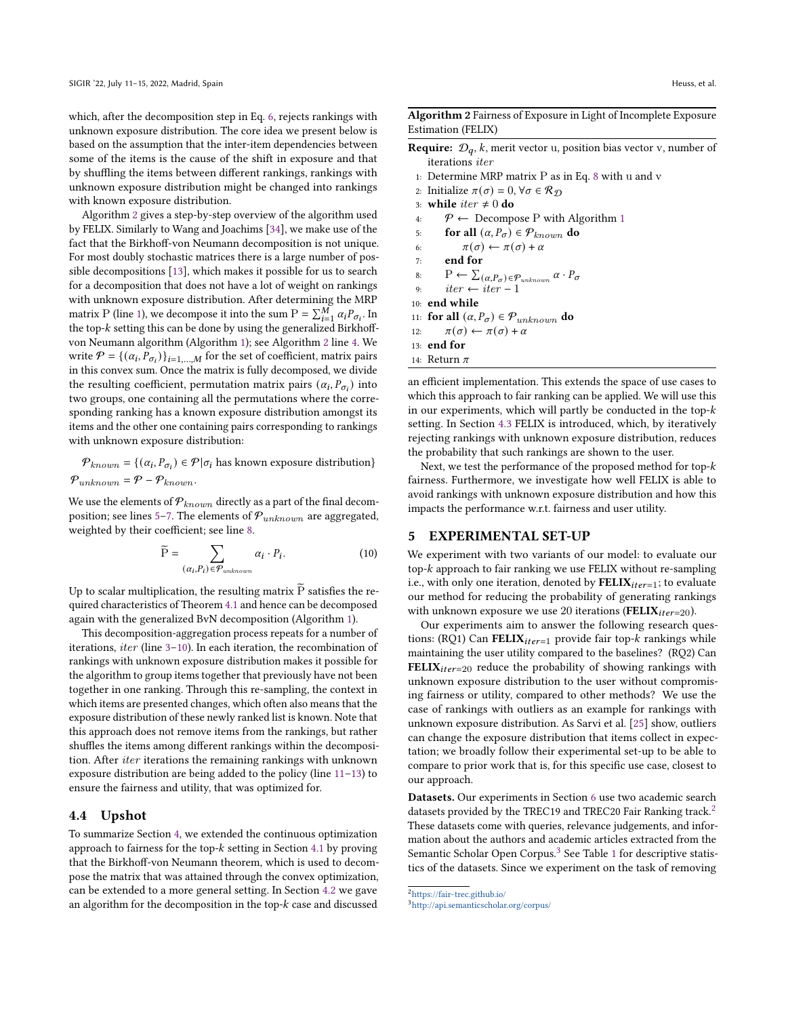which, after the decomposition step in Eq. [6,](#page-2-4) rejects rankings with unknown exposure distribution. The core idea we present below is based on the assumption that the inter-item dependencies between some of the items is the cause of the shift in exposure and that by shuffling the items between different rankings, rankings with unknown exposure distribution might be changed into rankings with known exposure distribution.

Algorithm [2](#page-5-1) gives a step-by-step overview of the algorithm used by FELIX. Similarly to Wang and Joachims [\[34\]](#page-11-10), we make use of the fact that the Birkhoff-von Neumann decomposition is not unique. For most doubly stochastic matrices there is a large number of possible decompositions [\[13\]](#page-11-42), which makes it possible for us to search for a decomposition that does not have a lot of weight on rankings with unknown exposure distribution. After determining the MRP matrix P (line [1\)](#page-5-1), we decompose it into the sum  $P = \sum_{i=1}^{M} \alpha_i P_{\sigma_i}$ . In the top- $k$  setting this can be done by using the generalized Birkhoffvon Neumann algorithm (Algorithm [1\)](#page-4-3); see Algorithm [2](#page-5-1) line [4.](#page-5-1) We write  $P = \{(\alpha_i, P_{\sigma_i})\}_{i=1,\dots,M}$  for the set of coefficient, matrix pairs in this convex sum. Once the matrix is fully decomposed, we divide the resulting coefficient, permutation matrix pairs  $(\alpha_i, P_{\sigma_i})$  into two groups, one containing all the permutations where the corresponding ranking has a known exposure distribution amongst its items and the other one containing pairs corresponding to rankings with unknown exposure distribution:

 $P_{known} = \{(\alpha_i, P_{\sigma_i}) \in \mathcal{P} | \sigma_i \text{ has known exposure distribution}\}\$  $\mathcal{P}_{unknown} = \mathcal{P} - \mathcal{P}_{known}.$ 

We use the elements of  $P_{known}$  directly as a part of the final decom-position; see lines [5–7.](#page-5-1) The elements of  $\mathcal{P}_{unknown}$  are aggregated, weighted by their coefficient; see line [8.](#page-5-1)

$$
\widetilde{P} = \sum_{(\alpha_i, P_i) \in \mathcal{P}_{unknown}} \alpha_i \cdot P_i.
$$
 (10)

Up to scalar multiplication, the resulting matrix  $\overline{P}$  satisfies the required characteristics of Theorem [4.1](#page-4-2) and hence can be decomposed again with the generalized BvN decomposition (Algorithm [1\)](#page-4-3).

This decomposition-aggregation process repeats for a number of iterations, iter (line [3–10\)](#page-5-1). In each iteration, the recombination of rankings with unknown exposure distribution makes it possible for the algorithm to group items together that previously have not been together in one ranking. Through this re-sampling, the context in which items are presented changes, which often also means that the exposure distribution of these newly ranked list is known. Note that this approach does not remove items from the rankings, but rather shuffles the items among different rankings within the decomposition. After iter iterations the remaining rankings with unknown exposure distribution are being added to the policy (line [11–13\)](#page-5-1) to ensure the fairness and utility, that was optimized for.

#### 4.4 Upshot

To summarize Section [4,](#page-3-2) we extended the continuous optimization approach to fairness for the top- $k$  setting in Section [4.1](#page-3-3) by proving that the Birkhoff-von Neumann theorem, which is used to decompose the matrix that was attained through the convex optimization, can be extended to a more general setting. In Section [4.2](#page-4-5) we gave an algorithm for the decomposition in the top- $k$  case and discussed

<span id="page-5-1"></span>Algorithm 2 Fairness of Exposure in Light of Incomplete Exposure Estimation (FELIX)

- **Require:**  $\mathcal{D}_q$ , k, merit vector u, position bias vector v, number of iterations iter
- 1: Determine MRP matrix P as in Eq. [8](#page-3-1) with u and v
- 2: Initialize  $\pi(\sigma) = 0, \forall \sigma \in \mathcal{R}_{\mathcal{D}}$
- 3: while  $iter \neq 0$  do
- 4:  $\mathcal{P} \leftarrow$  Decompose P with Algorithm [1](#page-4-3)
- 5: for all  $(\alpha, P_{\sigma}) \in \mathcal{P}_{known}$  do
- 6:  $\pi(\sigma) \leftarrow \pi(\sigma) + \alpha$
- 7: end for

8: 
$$
\mathbf{P} \leftarrow \sum_{(\alpha, P_{\sigma}) \in \mathcal{P}_{unknown}} \alpha \cdot P_{\sigma}
$$

9:  $iter \leftarrow iter - 1$ 

10: end while

- 11: for all  $(\alpha, P_{\sigma}) \in \mathcal{P}_{unknown}$  do
- 12:  $\pi(\sigma) \leftarrow \pi(\sigma) + \alpha$
- 13: end for
- 14: Return  $\pi$

an efficient implementation. This extends the space of use cases to which this approach to fair ranking can be applied. We will use this in our experiments, which will partly be conducted in the top setting. In Section [4.3](#page-4-0) FELIX is introduced, which, by iteratively rejecting rankings with unknown exposure distribution, reduces the probability that such rankings are shown to the user.

Next, we test the performance of the proposed method for top- $k$ fairness. Furthermore, we investigate how well FELIX is able to avoid rankings with unknown exposure distribution and how this impacts the performance w.r.t. fairness and user utility.

### <span id="page-5-0"></span>5 EXPERIMENTAL SET-UP

We experiment with two variants of our model: to evaluate our top- $k$  approach to fair ranking we use FELIX without re-sampling i.e., with only one iteration, denoted by  $\text{FELIX}_{iter=1}$ ; to evaluate our method for reducing the probability of generating rankings with unknown exposure we use 20 iterations (FELIX $_{iter=20}$ ).

<span id="page-5-5"></span><span id="page-5-4"></span>Our experiments aim to answer the following research questions: (RQ1) Can FELI $X_{iter=1}$  provide fair top- $k$  rankings while maintaining the user utility compared to the baselines? (RQ2) Can **FELIX**<sub>iter=20</sub> reduce the probability of showing rankings with unknown exposure distribution to the user without compromising fairness or utility, compared to other methods? We use the case of rankings with outliers as an example for rankings with unknown exposure distribution. As Sarvi et al. [\[25\]](#page-11-13) show, outliers can change the exposure distribution that items collect in expectation; we broadly follow their experimental set-up to be able to compare to prior work that is, for this specific use case, closest to our approach.

Datasets. Our experiments in Section [6](#page-6-0) use two academic search datasets provided by the TREC19 and TREC[2](#page-5-2)0 Fair Ranking track.<sup>2</sup> These datasets come with queries, relevance judgements, and information about the authors and academic articles extracted from the Semantic Scholar Open Corpus.<sup>[3](#page-5-3)</sup> See Table [1](#page-6-1) for descriptive statistics of the datasets. Since we experiment on the task of removing

<span id="page-5-2"></span> $\rm ^2$ <https://fair-trec.github.io/>

<span id="page-5-3"></span><sup>3</sup><http://api.semanticscholar.org/corpus/>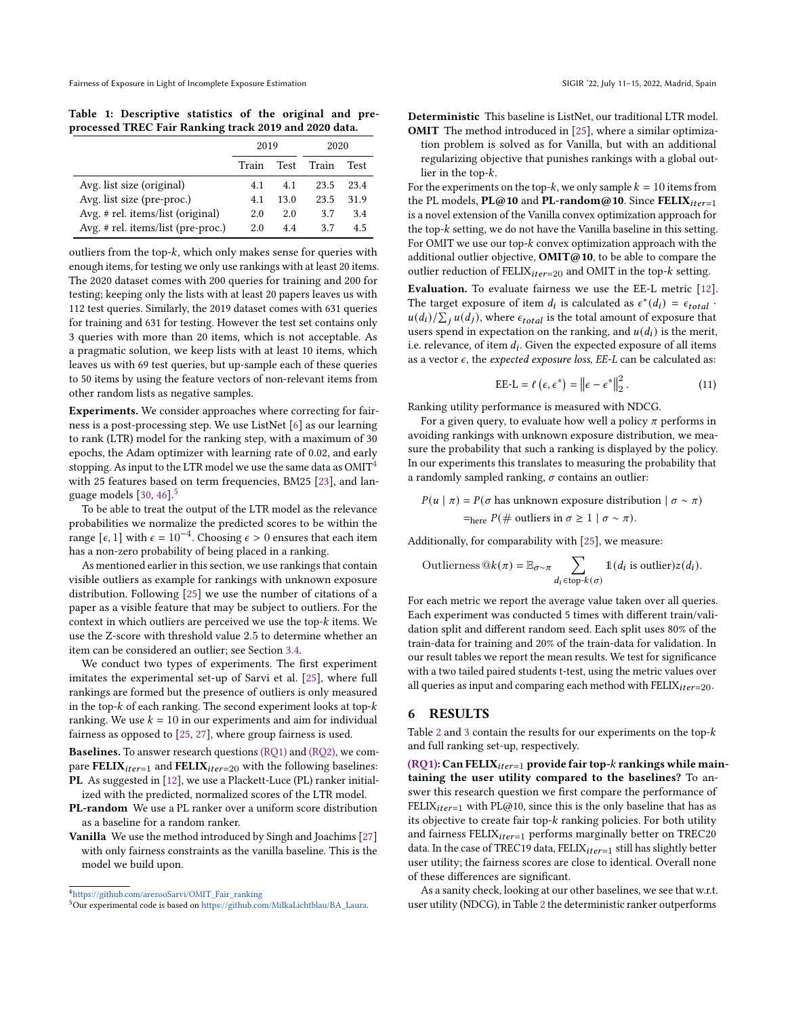<span id="page-6-1"></span>Table 1: Descriptive statistics of the original and preprocessed TREC Fair Ranking track 2019 and 2020 data.

|                                      | 2019  |      | 2020  |      |
|--------------------------------------|-------|------|-------|------|
|                                      | Train | Test | Train | Test |
| Avg. list size (original)            | 4.1   | 4.1  | 23.5  | 23.4 |
| Avg. list size (pre-proc.)           | 4.1   | 13.0 | 23.5  | 31.9 |
| Avg. # rel. items/list (original)    | 2.0   | 2.0  | 3.7   | 3.4  |
| Avg. $#$ rel. items/list (pre-proc.) | 2.0   | 44   | 37    | 4.5  |

outliers from the top- $k$ , which only makes sense for queries with enough items, for testing we only use rankings with at least 20 items. The 2020 dataset comes with 200 queries for training and 200 for testing; keeping only the lists with at least 20 papers leaves us with 112 test queries. Similarly, the 2019 dataset comes with 631 queries for training and 631 for testing. However the test set contains only 3 queries with more than 20 items, which is not acceptable. As a pragmatic solution, we keep lists with at least 10 items, which leaves us with 69 test queries, but up-sample each of these queries to 50 items by using the feature vectors of non-relevant items from other random lists as negative samples.

Experiments. We consider approaches where correcting for fairness is a post-processing step. We use ListNet [\[6\]](#page-11-43) as our learning to rank (LTR) model for the ranking step, with a maximum of 30 epochs, the Adam optimizer with learning rate of 0.02, and early stopping. As input to the LTR model we use the same data as  $OMIT<sup>4</sup>$  $OMIT<sup>4</sup>$  $OMIT<sup>4</sup>$ with 25 features based on term frequencies, BM25 [\[23\]](#page-11-44), and language models  $[30, 46]$  $[30, 46]$  $[30, 46]$ .<sup>[5](#page-6-3)</sup>

To be able to treat the output of the LTR model as the relevance probabilities we normalize the predicted scores to be within the range  $[\epsilon, 1]$  with  $\epsilon = 10^{-4}$ . Choosing  $\epsilon > 0$  ensures that each item has a non-zero probability of being placed in a ranking.

As mentioned earlier in this section, we use rankings that contain visible outliers as example for rankings with unknown exposure distribution. Following [\[25\]](#page-11-13) we use the number of citations of a paper as a visible feature that may be subject to outliers. For the context in which outliers are perceived we use the top- $k$  items. We use the Z-score with threshold value 2.5 to determine whether an item can be considered an outlier; see Section [3.4.](#page-3-0)

We conduct two types of experiments. The first experiment imitates the experimental set-up of Sarvi et al. [\[25\]](#page-11-13), where full rankings are formed but the presence of outliers is only measured in the top- $k$  of each ranking. The second experiment looks at top- $k$ ranking. We use  $k = 10$  in our experiments and aim for individual fairness as opposed to [\[25,](#page-11-13) [27\]](#page-11-9), where group fairness is used.

Baselines. To answer research questions [\(RQ1\)](#page-5-4) and [\(RQ2\),](#page-5-5) we compare FELIX $_{iter=1}$  and FELIX $_{iter=20}$  with the following baselines: PL As suggested in [\[12\]](#page-11-12), we use a Plackett-Luce (PL) ranker initialized with the predicted, normalized scores of the LTR model.

PL-random We use a PL ranker over a uniform score distribution as a baseline for a random ranker.

Vanilla We use the method introduced by Singh and Joachims [\[27\]](#page-11-9) with only fairness constraints as the vanilla baseline. This is the model we build upon.

Deterministic This baseline is ListNet, our traditional LTR model. OMIT The method introduced in [\[25\]](#page-11-13), where a similar optimization problem is solved as for Vanilla, but with an additional regularizing objective that punishes rankings with a global outlier in the top- $k$ .

For the experiments on the top-k, we only sample  $k = 10$  items from the PL models,  $PL@10$  and  $PL$ -random@10. Since  $FELIX$ <sub>iter=1</sub> is a novel extension of the Vanilla convex optimization approach for the top- $k$  setting, we do not have the Vanilla baseline in this setting. For OMIT we use our top- $k$  convex optimization approach with the additional outlier objective,  $OMIT@10$ , to be able to compare the outlier reduction of  $FELIX_{iter=20}$  and OMIT in the top- $k$  setting.

Evaluation. To evaluate fairness we use the EE-L metric [\[12\]](#page-11-12). The target exposure of item  $d_i$  is calculated as  $\epsilon^*(d_i) = \epsilon_{total}$ .  $u(d_i)/\sum_{i} u(d_i)$ , where  $\epsilon_{total}$  is the total amount of exposure that users spend in expectation on the ranking, and  $u(d_i)$  is the merit, i.e. relevance, of item  $d_i$ . Given the expected exposure of all items as a vector  $\epsilon$ , the expected exposure loss, EE-L can be calculated as:

$$
\text{EE-L} = \ell \left( \epsilon, \epsilon^* \right) = \left\| \epsilon - \epsilon^* \right\|_2^2. \tag{11}
$$

Ranking utility performance is measured with NDCG.

For a given query, to evaluate how well a policy  $\pi$  performs in avoiding rankings with unknown exposure distribution, we measure the probability that such a ranking is displayed by the policy. In our experiments this translates to measuring the probability that a randomly sampled ranking,  $\sigma$  contains an outlier:

 $P(u | \pi) = P(\sigma \text{ has unknown exposure distribution } | \sigma \sim \pi)$  $=$ <sub>here</sub>  $P(\text{# outliers in } \sigma \geq 1 \mid \sigma \sim \pi)$ .

Additionally, for comparability with [\[25\]](#page-11-13), we measure:

Outlierness 
$$
\mathbb{Q}_k(\pi) = \mathbb{E}_{\sigma \sim \pi} \sum_{d_i \in \text{top-}k(\sigma)} \mathbb{1}(d_i \text{ is outlier}) z(d_i).
$$

For each metric we report the average value taken over all queries. Each experiment was conducted 5 times with different train/validation split and different random seed. Each split uses 80% of the train-data for training and 20% of the train-data for validation. In our result tables we report the mean results. We test for significance with a two tailed paired students t-test, using the metric values over all queries as input and comparing each method with  $FELIX<sub>iter=20</sub>$ .

### <span id="page-6-0"></span>6 RESULTS

Table [2](#page-7-0) and [3](#page-7-1) contain the results for our experiments on the top- $k$ and full ranking set-up, respectively.

[\(RQ1\):](#page-5-4) Can FELIX $_{iter=1}$  provide fair top- $k$  rankings while maintaining the user utility compared to the baselines? To answer this research question we first compare the performance of FELIX $_{iter=1}$  with PL@10, since this is the only baseline that has as its objective to create fair top- $k$  ranking policies. For both utility and fairness  $FELIX_{iter=1}$  performs marginally better on TREC20 data. In the case of TREC19 data,  $FELIX_{iter=1}$  still has slightly better user utility; the fairness scores are close to identical. Overall none of these differences are significant.

As a sanity check, looking at our other baselines, we see that w.r.t. user utility (NDCG), in Table [2](#page-7-0) the deterministic ranker outperforms

<span id="page-6-2"></span><sup>4</sup>[https://github.com/arezooSarvi/OMIT\\_Fair\\_ranking](https://github.com/arezooSarvi/OMIT_Fair_ranking)

<span id="page-6-3"></span><sup>5</sup>Our experimental code is based on [https://github.com/MilkaLichtblau/BA\\_Laura.](https://github.com/MilkaLichtblau/BA_Laura)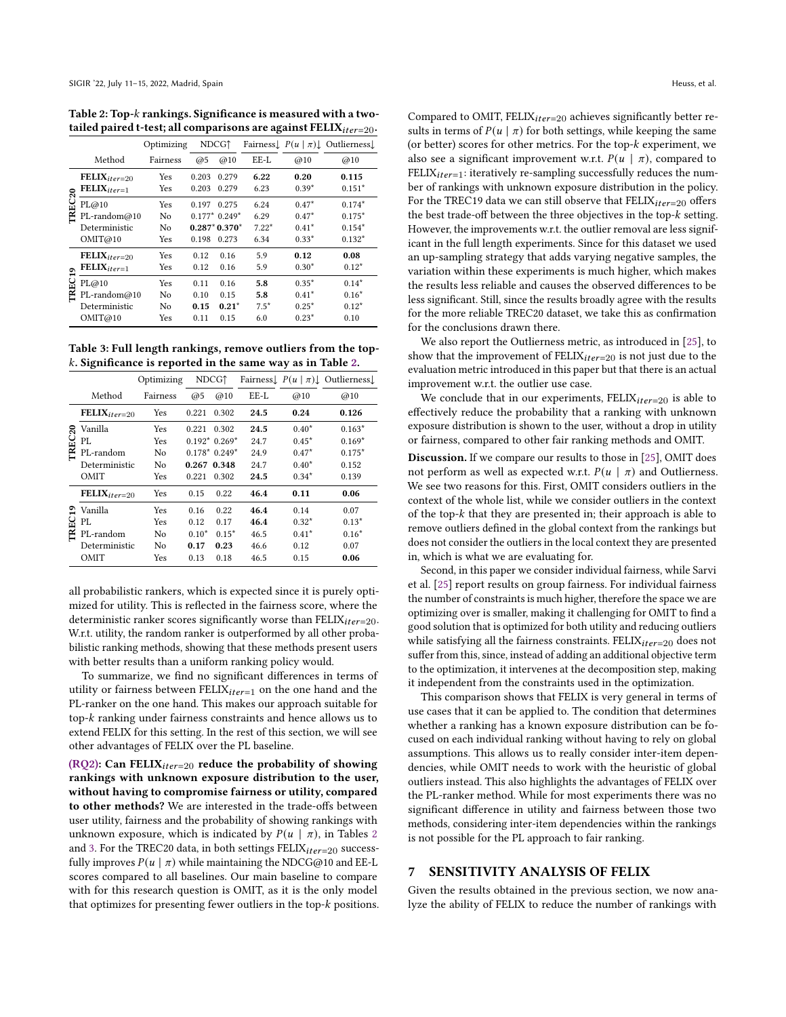<span id="page-7-0"></span>Table 2: Top- $k$  rankings. Significance is measured with a twotailed paired t-test; all comparisons are against  $FELIX<sub>iter=20</sub>$ .

|                                          |                                                         | Optimizing             | NDCG <sub>1</sub>            |                                                    | Fairness $\left[ P(u \mid \pi) \right]$ Outlierness |                                          |                                              |  |
|------------------------------------------|---------------------------------------------------------|------------------------|------------------------------|----------------------------------------------------|-----------------------------------------------------|------------------------------------------|----------------------------------------------|--|
|                                          | Method                                                  | Fairness               | @5                           | @10                                                | EE-L                                                | @10                                      | @10                                          |  |
| $\boldsymbol{\mathsf{a}}$<br><b>TREC</b> | $\textbf{FELIX}_{iter=20}$<br>$\text{FELIX}_{iter=1}$   | Yes<br>Yes             | 0.203<br>0.203               | 0.279<br>0.279                                     | 6.22<br>6.23                                        | 0.20<br>$0.39*$                          | 0.115<br>$0.151*$                            |  |
|                                          | PL@10<br>PL-random@10<br>Deterministic<br>OMIT@10       | Yes<br>No<br>No<br>Yes | 0.197<br>0.198               | 0.275<br>$0.177*0.249*$<br>$0.287*0.370*$<br>0.273 | 6.24<br>6.29<br>$7.22*$<br>6.34                     | $0.47*$<br>$0.47*$<br>$0.41*$<br>$0.33*$ | $0.174*$<br>$0.175*$<br>$0.154*$<br>$0.132*$ |  |
| ۰<br>÷<br><b>TREC</b>                    | $\textbf{FELIX}_{iter=20}$<br>$\text{FELIX}_{iter=1}$   | Yes<br>Yes             | 0.12<br>0.12                 | 0.16<br>0.16                                       | 5.9<br>5.9                                          | 0.12<br>$0.30*$                          | 0.08<br>$0.12*$                              |  |
|                                          | PL@10<br>$PL$ -random $@10$<br>Deterministic<br>OMIT@10 | Yes<br>No<br>No<br>Yes | 0.11<br>0.10<br>0.15<br>0.11 | 0.16<br>0.15<br>$0.21*$<br>0.15                    | 5.8<br>5.8<br>$7.5*$<br>6.0                         | $0.35*$<br>$0.41*$<br>$0.25*$<br>$0.23*$ | $0.14*$<br>$0.16*$<br>$0.12*$<br>0.10        |  |

<span id="page-7-1"></span>Table 3: Full length rankings, remove outliers from the top- . Significance is reported in the same way as in Table [2.](#page-7-0)

|                  |                          | Optimizing | NDCG <sub>1</sub> |                | Fairness $P(u   \pi)$ Outlierness |         |          |  |
|------------------|--------------------------|------------|-------------------|----------------|-----------------------------------|---------|----------|--|
|                  |                          |            |                   |                |                                   |         |          |  |
|                  | Method                   | Fairness   | @5                | @10            | EE-L                              | @10     | @10      |  |
| ន<br><b>TREC</b> | $\text{FELIX}_{iter=20}$ | Yes        | 0.221             | 0.302          | 24.5                              | 0.24    | 0.126    |  |
|                  | Vanilla                  | Yes        | 0.221             | 0.302          | 24.5                              | $0.40*$ | $0.163*$ |  |
|                  | PL                       | Yes        |                   | $0.192*0.269*$ | 24.7                              | $0.45*$ | $0.169*$ |  |
|                  | PL-random                | No         | $0.178*0.249*$    |                | 24.9                              | $0.47*$ | $0.175*$ |  |
|                  | Deterministic            | No         | 0.267 0.348       |                | 24.7                              | $0.40*$ | 0.152    |  |
|                  | OMIT                     | Yes        | 0.221             | 0.302          | 24.5                              | $0.34*$ | 0.139    |  |
| ఇ<br><b>TREC</b> | $\text{FELIX}_{iter=20}$ | Yes        | 0.15              | 0.22           | 46.4                              | 0.11    | 0.06     |  |
|                  | Vanilla                  | Yes        | 0.16              | 0.22           | 46.4                              | 0.14    | 0.07     |  |
|                  | PL                       | Yes        | 0.12              | 0.17           | 46.4                              | $0.32*$ | $0.13*$  |  |
|                  | PL-random                | No         | $0.10*$           | $0.15*$        | 46.5                              | $0.41*$ | $0.16*$  |  |
|                  | Deterministic            | No         | 0.17              | 0.23           | 46.6                              | 0.12    | 0.07     |  |
|                  | OMIT                     | Yes        | 0.13              | 0.18           | 46.5                              | 0.15    | 0.06     |  |

all probabilistic rankers, which is expected since it is purely optimized for utility. This is reflected in the fairness score, where the deterministic ranker scores significantly worse than  $FELIX<sub>iter=20</sub>$ . W.r.t. utility, the random ranker is outperformed by all other probabilistic ranking methods, showing that these methods present users with better results than a uniform ranking policy would.

To summarize, we find no significant differences in terms of utility or fairness between  $FELIX_{iter=1}$  on the one hand and the PL-ranker on the one hand. This makes our approach suitable for top- $k$  ranking under fairness constraints and hence allows us to extend FELIX for this setting. In the rest of this section, we will see other advantages of FELIX over the PL baseline.

[\(RQ2\):](#page-5-5) Can FELIX $_{iter=20}$  reduce the probability of showing rankings with unknown exposure distribution to the user, without having to compromise fairness or utility, compared to other methods? We are interested in the trade-offs between user utility, fairness and the probability of showing rankings with unknown exposure, which is indicated by  $P(u | \pi)$ , in Tables [2](#page-7-0) and [3.](#page-7-1) For the TREC20 data, in both settings  $FELIX<sub>iter=20</sub>$  successfully improves  $P(u | \pi)$  while maintaining the NDCG@10 and EE-L scores compared to all baselines. Our main baseline to compare with for this research question is OMIT, as it is the only model that optimizes for presenting fewer outliers in the top- $k$  positions.

Compared to OMIT, FELIX $_{iter=20}$  achieves significantly better results in terms of  $P(u | \pi)$  for both settings, while keeping the same (or better) scores for other metrics. For the top- $k$  experiment, we also see a significant improvement w.r.t.  $P(u | \pi)$ , compared to FELIX $_{iter=1}$ : iteratively re-sampling successfully reduces the number of rankings with unknown exposure distribution in the policy. For the TREC19 data we can still observe that  $FELIX<sub>iter=20</sub>$  offers the best trade-off between the three objectives in the top- $k$  setting. However, the improvements w.r.t. the outlier removal are less significant in the full length experiments. Since for this dataset we used an up-sampling strategy that adds varying negative samples, the variation within these experiments is much higher, which makes the results less reliable and causes the observed differences to be less significant. Still, since the results broadly agree with the results for the more reliable TREC20 dataset, we take this as confirmation for the conclusions drawn there.

We also report the Outlierness metric, as introduced in [\[25\]](#page-11-13), to show that the improvement of  $FELIX_{iter=20}$  is not just due to the evaluation metric introduced in this paper but that there is an actual improvement w.r.t. the outlier use case.

We conclude that in our experiments,  $FELIX_{iter=20}$  is able to effectively reduce the probability that a ranking with unknown exposure distribution is shown to the user, without a drop in utility or fairness, compared to other fair ranking methods and OMIT.

Discussion. If we compare our results to those in [\[25\]](#page-11-13), OMIT does not perform as well as expected w.r.t.  $P(u | \pi)$  and Outlierness. We see two reasons for this. First, OMIT considers outliers in the context of the whole list, while we consider outliers in the context of the top- $k$  that they are presented in; their approach is able to remove outliers defined in the global context from the rankings but does not consider the outliers in the local context they are presented in, which is what we are evaluating for.

Second, in this paper we consider individual fairness, while Sarvi et al. [\[25\]](#page-11-13) report results on group fairness. For individual fairness the number of constraints is much higher, therefore the space we are optimizing over is smaller, making it challenging for OMIT to find a good solution that is optimized for both utility and reducing outliers while satisfying all the fairness constraints. FELIX $_{iter=20}$  does not suffer from this, since, instead of adding an additional objective term to the optimization, it intervenes at the decomposition step, making it independent from the constraints used in the optimization.

This comparison shows that FELIX is very general in terms of use cases that it can be applied to. The condition that determines whether a ranking has a known exposure distribution can be focused on each individual ranking without having to rely on global assumptions. This allows us to really consider inter-item dependencies, while OMIT needs to work with the heuristic of global outliers instead. This also highlights the advantages of FELIX over the PL-ranker method. While for most experiments there was no significant difference in utility and fairness between those two methods, considering inter-item dependencies within the rankings is not possible for the PL approach to fair ranking.

# 7 SENSITIVITY ANALYSIS OF FELIX

Given the results obtained in the previous section, we now analyze the ability of FELIX to reduce the number of rankings with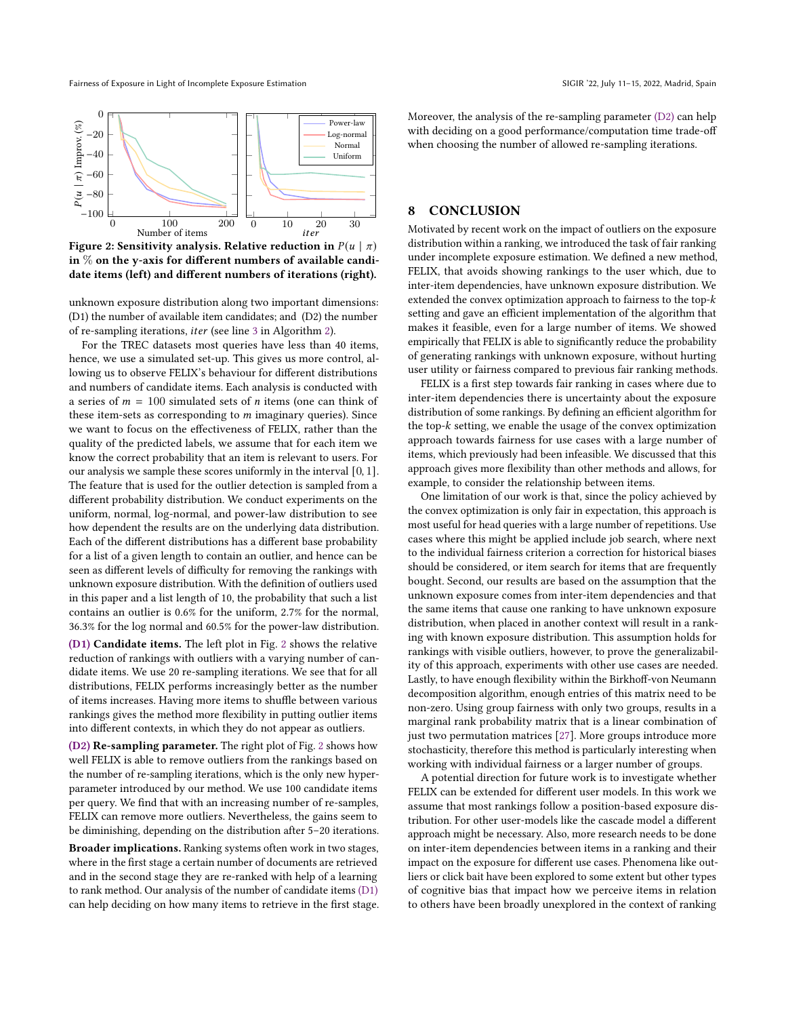Fairness of Exposure in Light of Incomplete Exposure Estimation SIGIR '22, July 11–15, 2022, Madrid, Spain

<span id="page-8-1"></span>

Figure 2: Sensitivity analysis. Relative reduction in  $P(u | \pi)$ in  $%$  on the y-axis for different numbers of available candidate items (left) and different numbers of iterations (right).

<span id="page-8-0"></span>unknown exposure distribution along two important dimensions: (D1) the number of available item candidates; and (D2) the number of re-sampling iterations, *iter* (see line [3](#page-5-1) in Algorithm [2\)](#page-5-1).

For the TREC datasets most queries have less than 40 items, hence, we use a simulated set-up. This gives us more control, allowing us to observe FELIX's behaviour for different distributions and numbers of candidate items. Each analysis is conducted with a series of  $m = 100$  simulated sets of *n* items (one can think of these item-sets as corresponding to  $m$  imaginary queries). Since we want to focus on the effectiveness of FELIX, rather than the quality of the predicted labels, we assume that for each item we know the correct probability that an item is relevant to users. For our analysis we sample these scores uniformly in the interval [0, 1]. The feature that is used for the outlier detection is sampled from a different probability distribution. We conduct experiments on the uniform, normal, log-normal, and power-law distribution to see how dependent the results are on the underlying data distribution. Each of the different distributions has a different base probability for a list of a given length to contain an outlier, and hence can be seen as different levels of difficulty for removing the rankings with unknown exposure distribution. With the definition of outliers used in this paper and a list length of 10, the probability that such a list contains an outlier is 0.6% for the uniform, 2.7% for the normal, 36.3% for the log normal and 60.5% for the power-law distribution.

[\(D1\)](#page-8-0) Candidate items. The left plot in Fig. [2](#page-8-1) shows the relative reduction of rankings with outliers with a varying number of candidate items. We use 20 re-sampling iterations. We see that for all distributions, FELIX performs increasingly better as the number of items increases. Having more items to shuffle between various rankings gives the method more flexibility in putting outlier items into different contexts, in which they do not appear as outliers.

[\(D2\)](#page-8-2) Re-sampling parameter. The right plot of Fig. [2](#page-8-1) shows how well FELIX is able to remove outliers from the rankings based on the number of re-sampling iterations, which is the only new hyperparameter introduced by our method. We use 100 candidate items per query. We find that with an increasing number of re-samples, FELIX can remove more outliers. Nevertheless, the gains seem to be diminishing, depending on the distribution after 5–20 iterations.

Broader implications. Ranking systems often work in two stages, where in the first stage a certain number of documents are retrieved and in the second stage they are re-ranked with help of a learning to rank method. Our analysis of the number of candidate items [\(D1\)](#page-8-0) can help deciding on how many items to retrieve in the first stage.

Moreover, the analysis of the re-sampling parameter [\(D2\)](#page-8-2) can help with deciding on a good performance/computation time trade-off when choosing the number of allowed re-sampling iterations.

# 8 CONCLUSION

Motivated by recent work on the impact of outliers on the exposure distribution within a ranking, we introduced the task of fair ranking under incomplete exposure estimation. We defined a new method, FELIX, that avoids showing rankings to the user which, due to inter-item dependencies, have unknown exposure distribution. We extended the convex optimization approach to fairness to the top- $k$ setting and gave an efficient implementation of the algorithm that makes it feasible, even for a large number of items. We showed empirically that FELIX is able to significantly reduce the probability of generating rankings with unknown exposure, without hurting user utility or fairness compared to previous fair ranking methods.

<span id="page-8-2"></span>FELIX is a first step towards fair ranking in cases where due to inter-item dependencies there is uncertainty about the exposure distribution of some rankings. By defining an efficient algorithm for the top- $k$  setting, we enable the usage of the convex optimization approach towards fairness for use cases with a large number of items, which previously had been infeasible. We discussed that this approach gives more flexibility than other methods and allows, for example, to consider the relationship between items.

One limitation of our work is that, since the policy achieved by the convex optimization is only fair in expectation, this approach is most useful for head queries with a large number of repetitions. Use cases where this might be applied include job search, where next to the individual fairness criterion a correction for historical biases should be considered, or item search for items that are frequently bought. Second, our results are based on the assumption that the unknown exposure comes from inter-item dependencies and that the same items that cause one ranking to have unknown exposure distribution, when placed in another context will result in a ranking with known exposure distribution. This assumption holds for rankings with visible outliers, however, to prove the generalizability of this approach, experiments with other use cases are needed. Lastly, to have enough flexibility within the Birkhoff-von Neumann decomposition algorithm, enough entries of this matrix need to be non-zero. Using group fairness with only two groups, results in a marginal rank probability matrix that is a linear combination of just two permutation matrices [\[27\]](#page-11-9). More groups introduce more stochasticity, therefore this method is particularly interesting when working with individual fairness or a larger number of groups.

A potential direction for future work is to investigate whether FELIX can be extended for different user models. In this work we assume that most rankings follow a position-based exposure distribution. For other user-models like the cascade model a different approach might be necessary. Also, more research needs to be done on inter-item dependencies between items in a ranking and their impact on the exposure for different use cases. Phenomena like outliers or click bait have been explored to some extent but other types of cognitive bias that impact how we perceive items in relation to others have been broadly unexplored in the context of ranking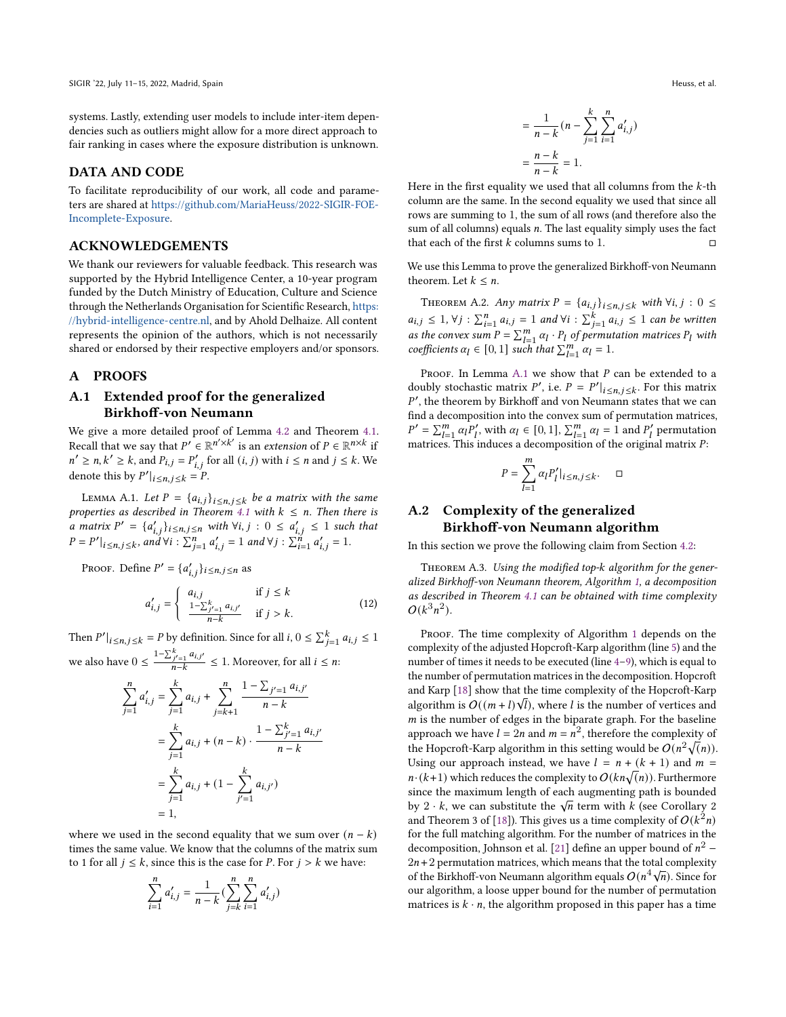systems. Lastly, extending user models to include inter-item dependencies such as outliers might allow for a more direct approach to fair ranking in cases where the exposure distribution is unknown.

### DATA AND CODE

To facilitate reproducibility of our work, all code and parameters are shared at [https://github.com/MariaHeuss/2022-SIGIR-FOE-](https://github.com/MariaHeuss/2022-SIGIR-FOE-Incomplete-Exposure)[Incomplete-Exposure.](https://github.com/MariaHeuss/2022-SIGIR-FOE-Incomplete-Exposure)

### ACKNOWLEDGEMENTS

We thank our reviewers for valuable feedback. This research was supported by the Hybrid Intelligence Center, a 10-year program funded by the Dutch Ministry of Education, Culture and Science through the Netherlands Organisation for Scientific Research, [https:](https://hybrid-intelligence-centre.nl) [//hybrid-intelligence-centre.nl,](https://hybrid-intelligence-centre.nl) and by Ahold Delhaize. All content represents the opinion of the authors, which is not necessarily shared or endorsed by their respective employers and/or sponsors.

### A PROOFS

# A.1 Extended proof for the generalized Birkhoff-von Neumann

We give a more detailed proof of Lemma [4.2](#page-4-1) and Theorem [4.1.](#page-4-2) Recall that we say that  $P' \in \mathbb{R}^{n' \times k'}$  is an *extension* of  $P \in \mathbb{R}^{n \times k}$  if  $n' \ge n, k' \ge k$ , and  $P_{i,j} = P'_{i,j}$  for all  $(i, j)$  with  $i \le n$  and  $j \le k$ . We denote this by  $P'|_{i \leq n, j \leq k} = P$ .

<span id="page-9-1"></span>LEMMA A.1. Let  $P = \{a_{i,j}\}_{i \leq n, j \leq k}$  be a matrix with the same properties as described in Theorem [4.1](#page-4-2) with  $k \leq n$ . Then there is a matrix  $P' = \{a'_{i,j}\}_{i \leq n, j \leq n}$  with  $\forall i, j : 0 \leq a'_{i,j} \leq 1$  such that  $P = P'|_{i \le n, j \le k}$ , and  $\forall i : \sum_{j=1}^{n} a'_{i,j} = 1$  and  $\forall j : \sum_{i=1}^{n} a'_{i,j} = 1$ .

Proof. Define  $P' = \{a'_{i,j}\}_{i \leq n, j \leq n}$  as

$$
a'_{i,j} = \begin{cases} a_{i,j} & \text{if } j \le k \\ \frac{1 - \sum_{j'=1}^{k} a_{i,j'}}{n - k} & \text{if } j > k. \end{cases}
$$
 (12)

Then  $P'|_{i \le n, j \le k} = P$  by definition. Since for all  $i, 0 \le \sum_{j=1}^{k} a_{i,j} \le 1$ we also have  $0 \leq \frac{1 - \sum_{j'=1}^{k} a_{i,j'}}{n-k}$  $\frac{f_j' = 1}{n-k}$   $\leq 1$ . Moreover, for all  $i \leq n$ :

$$
\sum_{j=1}^{n} a'_{i,j} = \sum_{j=1}^{k} a_{i,j} + \sum_{j=k+1}^{n} \frac{1 - \sum_{j'=1}^{n} a_{i,j'}}{n-k}
$$

$$
= \sum_{j=1}^{k} a_{i,j} + (n-k) \cdot \frac{1 - \sum_{j'=1}^{k} a_{i,j'}}{n-k}
$$

$$
= \sum_{j=1}^{k} a_{i,j} + (1 - \sum_{j'=1}^{k} a_{i,j'})
$$

$$
= 1,
$$

where we used in the second equality that we sum over  $(n - k)$ times the same value. We know that the columns of the matrix sum to 1 for all  $j \leq k$ , since this is the case for *P*. For  $j > k$  we have:

$$
\sum_{i=1}^{n} a'_{i,j} = \frac{1}{n-k} \left( \sum_{j=k}^{n} \sum_{i=1}^{n} a'_{i,j} \right)
$$

$$
= \frac{1}{n-k} (n - \sum_{j=1}^{k} \sum_{i=1}^{n} a'_{i,j})
$$

$$
= \frac{n-k}{n-k} = 1.
$$

Here in the first equality we used that all columns from the  $k$ -th column are the same. In the second equality we used that since all rows are summing to 1, the sum of all rows (and therefore also the sum of all columns) equals  $n$ . The last equality simply uses the fact that each of the first  $k$  columns sums to 1.  $\Box$ 

We use this Lemma to prove the generalized Birkhoff-von Neumann theorem. Let  $k \leq n$ .

THEOREM A.2. Any matrix  $P = \{a_{i,j}\}_{i \leq n, j \leq k}$  with  $\forall i, j : 0 \leq j$  $a_{i,j} \leq 1$ ,  $\forall j : \sum_{i=1}^{n} a_{i,j} = 1$  and  $\forall i : \sum_{j=1}^{k} a_{i,j} \leq 1$  can be written as the convex sum  $P = \sum_{l=1}^{m} \alpha_l \cdot P_l$  of permutation matrices  $P_l$  with coefficients  $\alpha_l \in [0, 1]$  such that  $\sum_{l=1}^{m} \alpha_l = 1$ .

PROOF. In Lemma  $A.1$  we show that  $P$  can be extended to a doubly stochastic matrix  $P'$ , i.e.  $P = P'|_{i \leq n, j \leq k}$ . For this matrix |  $P'$ , the theorem by Birkhoff and von Neumann states that we can find a decomposition into the convex sum of permutation matrices,  $P' = \sum_{l=1}^{m} \alpha_l P'_l$ , with  $\alpha_l \in [0, 1]$ ,  $\sum_{l=1}^{m} \alpha_l = 1$  and  $P'_l$  permutation matrices. This induces a decomposition of the original matrix  $P$ :

$$
P=\sum_{l=1}^m \alpha_l P_l'|_{i\leq n,j\leq k}. \quad \ \Box
$$

# <span id="page-9-0"></span>A.2 Complexity of the generalized Birkhoff-von Neumann algorithm

In this section we prove the following claim from Section [4.2:](#page-4-5)

THEOREM A.3. Using the modified top-k algorithm for the generalized Birkhoff-von Neumann theorem, Algorithm [1,](#page-4-3) a decomposition as described in Theorem [4.1](#page-4-2) can be obtained with time complexity  $O(k^3n^2)$ .

PROOF. The time complexity of Algorithm [1](#page-4-3) depends on the complexity of the adjusted Hopcroft-Karp algorithm (line [5\)](#page-4-3) and the number of times it needs to be executed (line [4–9\)](#page-4-3), which is equal to the number of permutation matrices in the decomposition. Hopcroft and Karp [\[18\]](#page-11-39) show that the time complexity of the Hopcroft-Karp algorithm is  $O((m + l)\sqrt{l})$ , where l is the number of vertices and  $m$  is the number of edges in the biparate graph. For the baseline approach we have  $l = 2n$  and  $m = n^2$ , therefore the complexity of the Hopcroft-Karp algorithm in this setting would be  $O(n^2\sqrt(n))$ . Using our approach instead, we have  $l = n + (k + 1)$  and  $m =$  $n \cdot (k+1)$  which reduces the complexity to  $O(kn\sqrt(n))$ . Furthermore since the maximum length of each augmenting path is bounded since the maximum length of each augmenting path is bounded<br>by 2  $\cdot$  k, we can substitute the  $\sqrt{n}$  term with k (see Corollary 2 and Theorem 3 of [\[18\]](#page-11-39)). This gives us a time complexity of  $O(k^2n)$ for the full matching algorithm. For the number of matrices in the decomposition, Johnson et al. [\[21\]](#page-11-40) define an upper bound of  $n^2$  –  $2n+2$  permutation matrices, which means that the total complexity of the Birkhoff-von Neumann algorithm equals  $O(n^4\sqrt{n})$ . Since for our algorithm, a loose upper bound for the number of permutation matrices is  $k \cdot n$ , the algorithm proposed in this paper has a time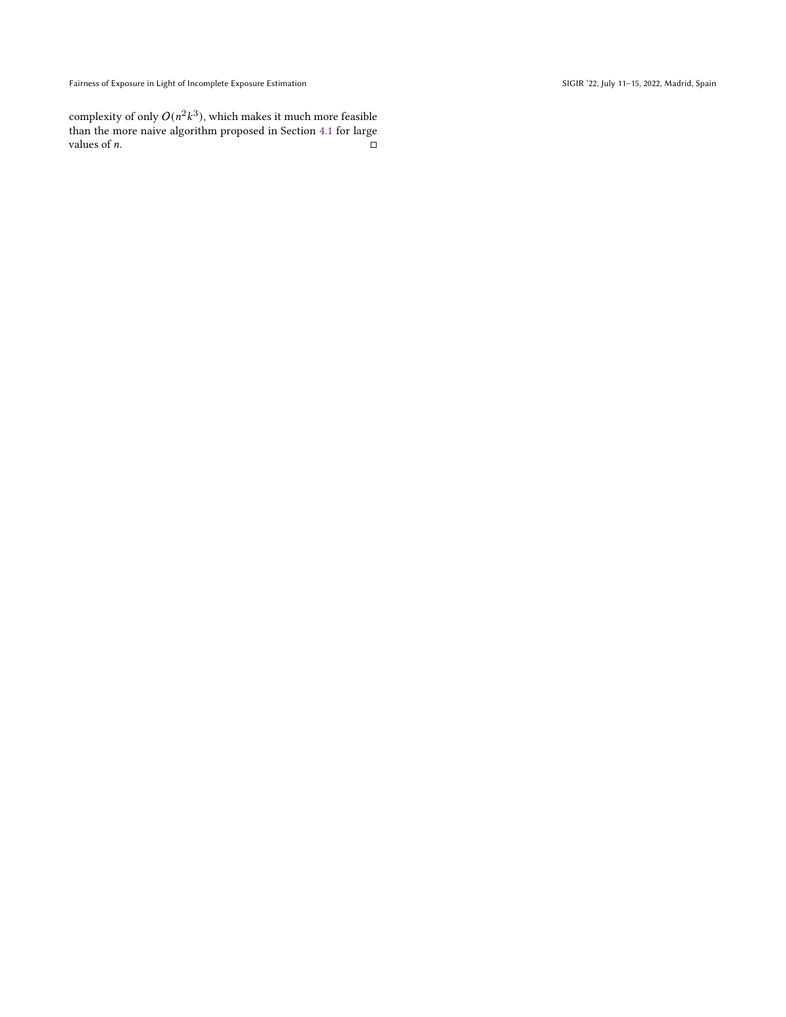Fairness of Exposure in Light of Incomplete Exposure Estimation SIGIR '22, July 11-15, 2022, Madrid, Spain

complexity of only  $O(n^2k^3)$ , which makes it much more feasible than the more naive algorithm proposed in Section [4.1](#page-3-3) for large values of  $n$ .